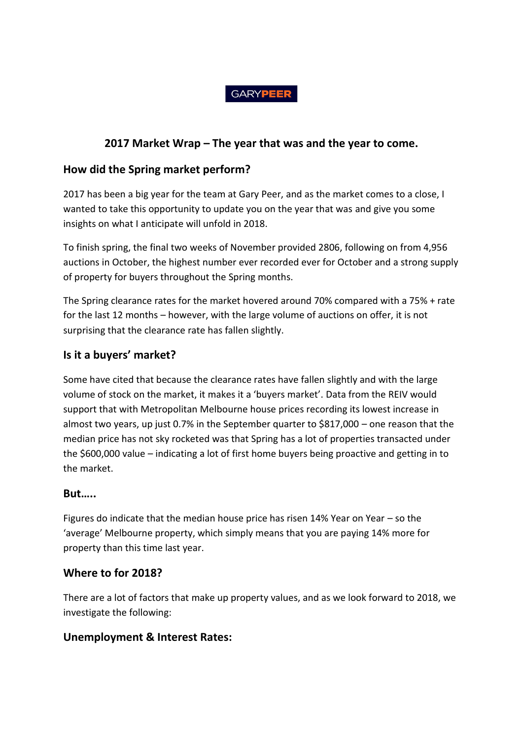#### **GARYPEER**

# **2017 Market Wrap – The year that was and the year to come.**

### **How did the Spring market perform?**

2017 has been a big year for the team at Gary Peer, and as the market comes to a close, I wanted to take this opportunity to update you on the year that was and give you some insights on what I anticipate will unfold in 2018.

To finish spring, the final two weeks of November provided 2806, following on from 4,956 auctions in October, the highest number ever recorded ever for October and a strong supply of property for buyers throughout the Spring months.

The Spring clearance rates for the market hovered around 70% compared with a 75% + rate for the last 12 months – however, with the large volume of auctions on offer, it is not surprising that the clearance rate has fallen slightly.

### **Is it a buyers' market?**

Some have cited that because the clearance rates have fallen slightly and with the large volume of stock on the market, it makes it a 'buyers market'. Data from the REIV would support that with Metropolitan Melbourne house prices recording its lowest increase in almost two years, up just 0.7% in the September quarter to \$817,000 – one reason that the median price has not sky rocketed was that Spring has a lot of properties transacted under the \$600,000 value – indicating a lot of first home buyers being proactive and getting in to the market.

### **But…..**

Figures do indicate that the median house price has risen 14% Year on Year – so the 'average' Melbourne property, which simply means that you are paying 14% more for property than this time last year.

### **Where to for 2018?**

There are a lot of factors that make up property values, and as we look forward to 2018, we investigate the following:

### **Unemployment & Interest Rates:**